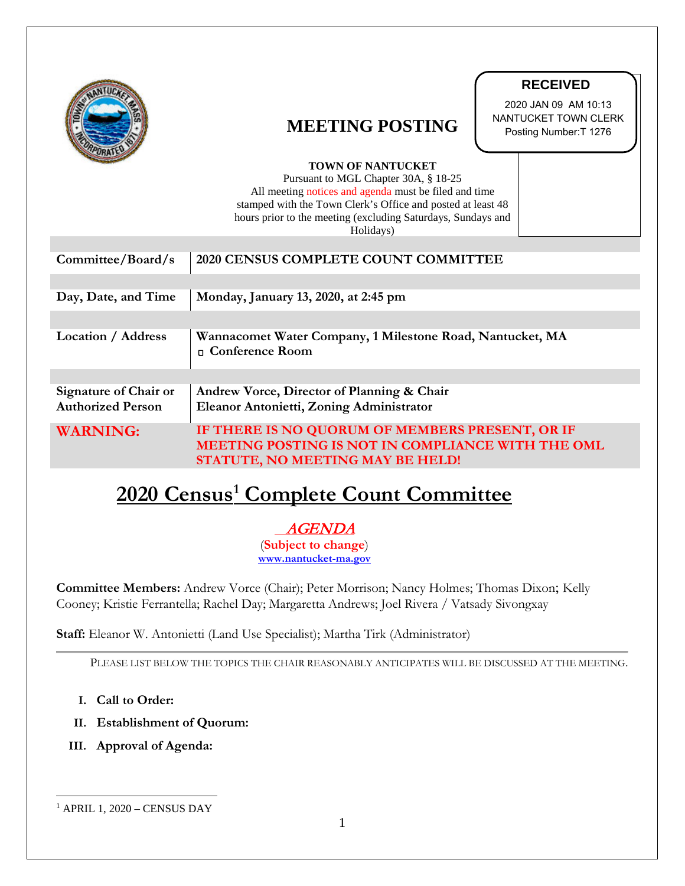|                                                                                            | <b>MEETING POSTING</b><br><b>TOWN OF NANTUCKET</b><br>Pursuant to MGL Chapter 30A, § 18-25<br>All meeting notices and agenda must be filed and time<br>stamped with the Town Clerk's Office and posted at least 48<br>hours prior to the meeting (excluding Saturdays, Sundays and<br>Holidays) | <b>RECEIVED</b><br>2020 JAN 09 AM 10:13<br>NANTUCKET TOWN CLERK<br>Posting Number: T 1276 |
|--------------------------------------------------------------------------------------------|-------------------------------------------------------------------------------------------------------------------------------------------------------------------------------------------------------------------------------------------------------------------------------------------------|-------------------------------------------------------------------------------------------|
| Committee/Board/s                                                                          | 2020 CENSUS COMPLETE COUNT COMMITTEE                                                                                                                                                                                                                                                            |                                                                                           |
| Day, Date, and Time                                                                        | Monday, January 13, 2020, at 2:45 pm                                                                                                                                                                                                                                                            |                                                                                           |
| <b>Location / Address</b>                                                                  | Wannacomet Water Company, 1 Milestone Road, Nantucket, MA<br>n Conference Room                                                                                                                                                                                                                  |                                                                                           |
| <b>Signature of Chair or</b><br><b>Authorized Person</b>                                   | Andrew Vorce, Director of Planning & Chair<br>Eleanor Antonietti, Zoning Administrator                                                                                                                                                                                                          |                                                                                           |
| <b>WARNING:</b>                                                                            | IF THERE IS NO QUORUM OF MEMBERS PRESENT, OR IF<br>MEETING POSTING IS NOT IN COMPLIANCE WITH THE OML<br>STATUTE, NO MEETING MAY BE HELD!                                                                                                                                                        |                                                                                           |
| 2020 Census <sup>1</sup> Complete Count Committee                                          |                                                                                                                                                                                                                                                                                                 |                                                                                           |
| <i>AGENDA</i><br>(Subject to change)<br>www.nantucket-ma.gov                               |                                                                                                                                                                                                                                                                                                 |                                                                                           |
|                                                                                            | <b>Committee Members:</b> Andrew Vorce (Chair); Peter Morrison; Nancy Holmes; Thomas Dixon; Kelly<br>Cooney; Kristie Ferrantella; Rachel Day; Margaretta Andrews; Joel Rivera / Vatsady Sivongxay                                                                                               |                                                                                           |
| Staff: Eleanor W. Antonietti (Land Use Specialist); Martha Tirk (Administrator)            |                                                                                                                                                                                                                                                                                                 |                                                                                           |
|                                                                                            | PLEASE LIST BELOW THE TOPICS THE CHAIR REASONABLY ANTICIPATES WILL BE DISCUSSED AT THE MEETING.                                                                                                                                                                                                 |                                                                                           |
| Call to Order:<br>Ι.<br><b>Establishment of Quorum:</b><br>II.<br>III. Approval of Agenda: |                                                                                                                                                                                                                                                                                                 |                                                                                           |
| $1$ APRIL 1, 2020 – CENSUS DAY                                                             |                                                                                                                                                                                                                                                                                                 |                                                                                           |

# **2020 Census[1](#page-0-0) Complete Count Committee**

- **I. Call to Order:**
- **II. Establishment of Quorum:**
- **III. Approval of Agenda:**

<span id="page-0-0"></span>